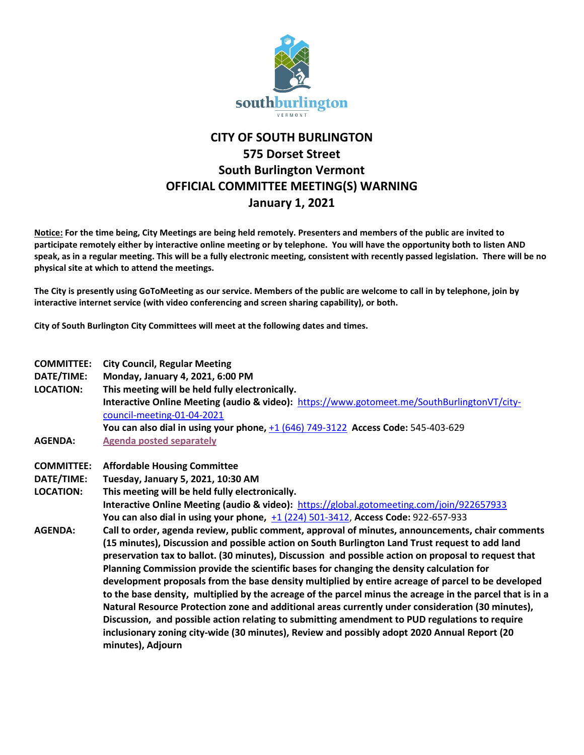

## **CITY OF SOUTH BURLINGTON 575 Dorset Street South Burlington Vermont OFFICIAL COMMITTEE MEETING(S) WARNING January 1, 2021**

**Notice: For the time being, City Meetings are being held remotely. Presenters and members of the public are invited to participate remotely either by interactive online meeting or by telephone. You will have the opportunity both to listen AND speak, as in a regular meeting. This will be a fully electronic meeting, consistent with recently passed legislation. There will be no physical site at which to attend the meetings.** 

**The City is presently using GoToMeeting as our service. Members of the public are welcome to call in by telephone, join by interactive internet service (with video conferencing and screen sharing capability), or both.**

**City of South Burlington City Committees will meet at the following dates and times.** 

| <b>COMMITTEE:</b><br>DATE/TIME:<br><b>LOCATION:</b> | <b>City Council, Regular Meeting</b><br>Monday, January 4, 2021, 6:00 PM<br>This meeting will be held fully electronically.<br>Interactive Online Meeting (audio & video): https://www.gotomeet.me/SouthBurlingtonVT/city-<br>council-meeting-01-04-2021<br>You can also dial in using your phone, +1 (646) 749-3122 Access Code: 545-403-629                                                                                                                                                                                                                                                                                                                                                                                                                                                                                                                                                                                                           |
|-----------------------------------------------------|---------------------------------------------------------------------------------------------------------------------------------------------------------------------------------------------------------------------------------------------------------------------------------------------------------------------------------------------------------------------------------------------------------------------------------------------------------------------------------------------------------------------------------------------------------------------------------------------------------------------------------------------------------------------------------------------------------------------------------------------------------------------------------------------------------------------------------------------------------------------------------------------------------------------------------------------------------|
| <b>AGENDA:</b>                                      | <b>Agenda posted separately</b>                                                                                                                                                                                                                                                                                                                                                                                                                                                                                                                                                                                                                                                                                                                                                                                                                                                                                                                         |
| <b>COMMITTEE:</b><br>DATE/TIME:<br><b>LOCATION:</b> | <b>Affordable Housing Committee</b><br>Tuesday, January 5, 2021, 10:30 AM<br>This meeting will be held fully electronically.                                                                                                                                                                                                                                                                                                                                                                                                                                                                                                                                                                                                                                                                                                                                                                                                                            |
|                                                     | Interactive Online Meeting (audio & video): https://global.gotomeeting.com/join/922657933<br>You can also dial in using your phone, $+1$ (224) 501-3412, Access Code: 922-657-933                                                                                                                                                                                                                                                                                                                                                                                                                                                                                                                                                                                                                                                                                                                                                                       |
| <b>AGENDA:</b>                                      | Call to order, agenda review, public comment, approval of minutes, announcements, chair comments<br>(15 minutes), Discussion and possible action on South Burlington Land Trust request to add land<br>preservation tax to ballot. (30 minutes), Discussion and possible action on proposal to request that<br>Planning Commission provide the scientific bases for changing the density calculation for<br>development proposals from the base density multiplied by entire acreage of parcel to be developed<br>to the base density, multiplied by the acreage of the parcel minus the acreage in the parcel that is in a<br>Natural Resource Protection zone and additional areas currently under consideration (30 minutes),<br>Discussion, and possible action relating to submitting amendment to PUD regulations to require<br>inclusionary zoning city-wide (30 minutes), Review and possibly adopt 2020 Annual Report (20<br>minutes), Adjourn |